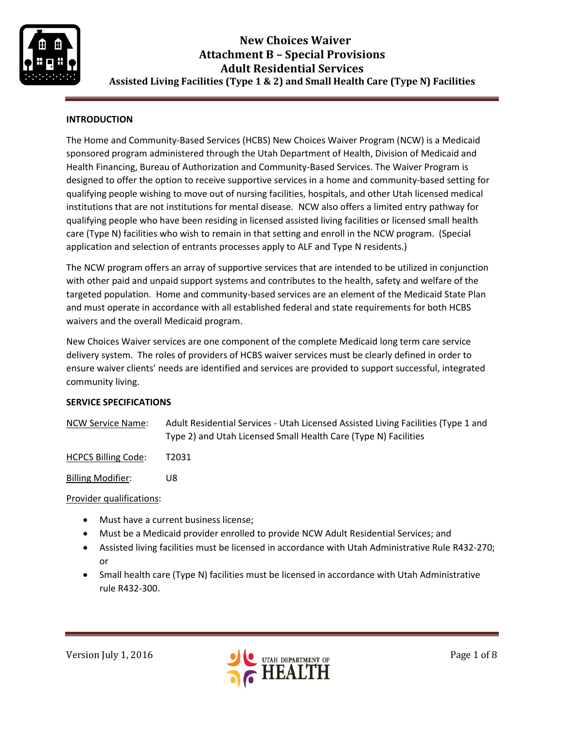

# **INTRODUCTION**

The Home and Community-Based Services (HCBS) New Choices Waiver Program (NCW) is a Medicaid sponsored program administered through the Utah Department of Health, Division of Medicaid and Health Financing, Bureau of Authorization and Community-Based Services. The Waiver Program is designed to offer the option to receive supportive services in a home and community-based setting for qualifying people wishing to move out of nursing facilities, hospitals, and other Utah licensed medical institutions that are not institutions for mental disease. NCW also offers a limited entry pathway for qualifying people who have been residing in licensed assisted living facilities or licensed small health care (Type N) facilities who wish to remain in that setting and enroll in the NCW program. (Special application and selection of entrants processes apply to ALF and Type N residents.)

The NCW program offers an array of supportive services that are intended to be utilized in conjunction with other paid and unpaid support systems and contributes to the health, safety and welfare of the targeted population. Home and community-based services are an element of the Medicaid State Plan and must operate in accordance with all established federal and state requirements for both HCBS waivers and the overall Medicaid program.

New Choices Waiver services are one component of the complete Medicaid long term care service delivery system. The roles of providers of HCBS waiver services must be clearly defined in order to ensure waiver clients' needs are identified and services are provided to support successful, integrated community living.

#### **SERVICE SPECIFICATIONS**

NCW Service Name: Adult Residential Services - Utah Licensed Assisted Living Facilities (Type 1 and Type 2) and Utah Licensed Small Health Care (Type N) Facilities

HCPCS Billing Code: T2031

Billing Modifier: U8

Provider qualifications:

- Must have a current business license;
- Must be a Medicaid provider enrolled to provide NCW Adult Residential Services; and
- Assisted living facilities must be licensed in accordance with Utah Administrative Rule R432-270; or
- Small health care (Type N) facilities must be licensed in accordance with Utah Administrative rule R432-300.

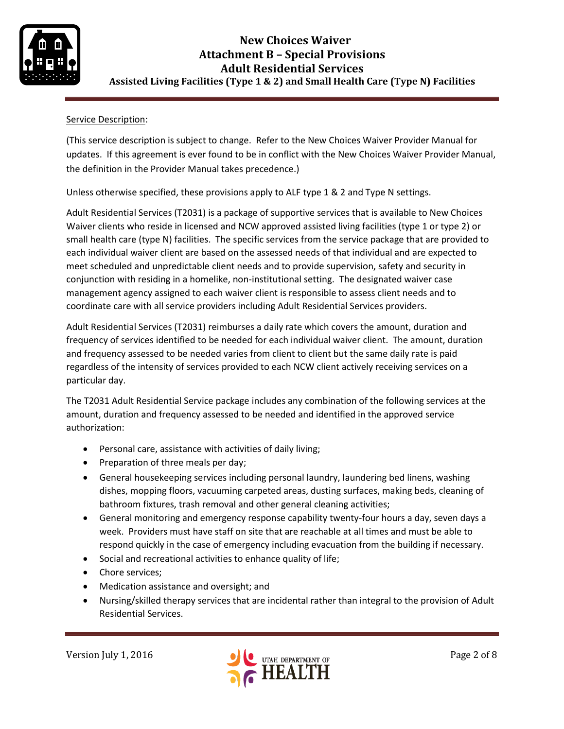

# Service Description:

(This service description is subject to change. Refer to the New Choices Waiver Provider Manual for updates. If this agreement is ever found to be in conflict with the New Choices Waiver Provider Manual, the definition in the Provider Manual takes precedence.)

Unless otherwise specified, these provisions apply to ALF type 1 & 2 and Type N settings.

Adult Residential Services (T2031) is a package of supportive services that is available to New Choices Waiver clients who reside in licensed and NCW approved assisted living facilities (type 1 or type 2) or small health care (type N) facilities. The specific services from the service package that are provided to each individual waiver client are based on the assessed needs of that individual and are expected to meet scheduled and unpredictable client needs and to provide supervision, safety and security in conjunction with residing in a homelike, non-institutional setting. The designated waiver case management agency assigned to each waiver client is responsible to assess client needs and to coordinate care with all service providers including Adult Residential Services providers.

Adult Residential Services (T2031) reimburses a daily rate which covers the amount, duration and frequency of services identified to be needed for each individual waiver client. The amount, duration and frequency assessed to be needed varies from client to client but the same daily rate is paid regardless of the intensity of services provided to each NCW client actively receiving services on a particular day.

The T2031 Adult Residential Service package includes any combination of the following services at the amount, duration and frequency assessed to be needed and identified in the approved service authorization:

- Personal care, assistance with activities of daily living;
- Preparation of three meals per day;
- General housekeeping services including personal laundry, laundering bed linens, washing dishes, mopping floors, vacuuming carpeted areas, dusting surfaces, making beds, cleaning of bathroom fixtures, trash removal and other general cleaning activities;
- General monitoring and emergency response capability twenty-four hours a day, seven days a week. Providers must have staff on site that are reachable at all times and must be able to respond quickly in the case of emergency including evacuation from the building if necessary.
- Social and recreational activities to enhance quality of life;
- Chore services;
- Medication assistance and oversight; and
- Nursing/skilled therapy services that are incidental rather than integral to the provision of Adult Residential Services.

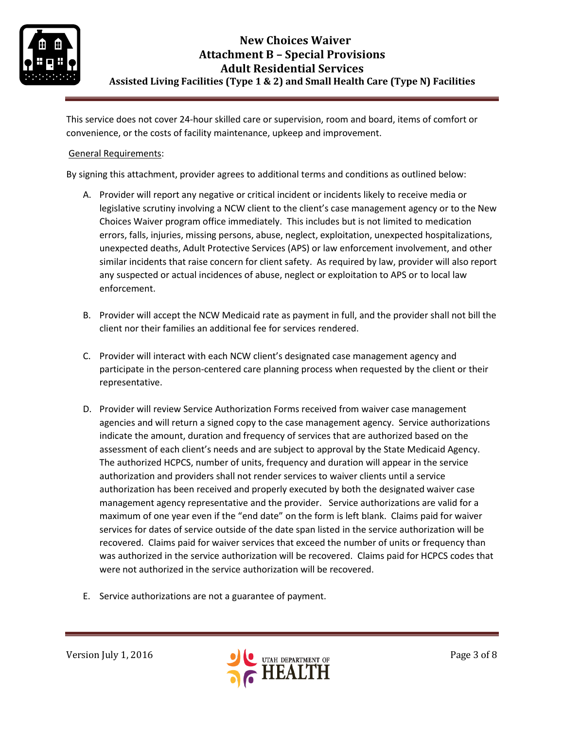

This service does not cover 24-hour skilled care or supervision, room and board, items of comfort or convenience, or the costs of facility maintenance, upkeep and improvement.

# General Requirements:

By signing this attachment, provider agrees to additional terms and conditions as outlined below:

- A. Provider will report any negative or critical incident or incidents likely to receive media or legislative scrutiny involving a NCW client to the client's case management agency or to the New Choices Waiver program office immediately. This includes but is not limited to medication errors, falls, injuries, missing persons, abuse, neglect, exploitation, unexpected hospitalizations, unexpected deaths, Adult Protective Services (APS) or law enforcement involvement, and other similar incidents that raise concern for client safety. As required by law, provider will also report any suspected or actual incidences of abuse, neglect or exploitation to APS or to local law enforcement.
- B. Provider will accept the NCW Medicaid rate as payment in full, and the provider shall not bill the client nor their families an additional fee for services rendered.
- C. Provider will interact with each NCW client's designated case management agency and participate in the person-centered care planning process when requested by the client or their representative.
- D. Provider will review Service Authorization Forms received from waiver case management agencies and will return a signed copy to the case management agency. Service authorizations indicate the amount, duration and frequency of services that are authorized based on the assessment of each client's needs and are subject to approval by the State Medicaid Agency. The authorized HCPCS, number of units, frequency and duration will appear in the service authorization and providers shall not render services to waiver clients until a service authorization has been received and properly executed by both the designated waiver case management agency representative and the provider. Service authorizations are valid for a maximum of one year even if the "end date" on the form is left blank. Claims paid for waiver services for dates of service outside of the date span listed in the service authorization will be recovered. Claims paid for waiver services that exceed the number of units or frequency than was authorized in the service authorization will be recovered. Claims paid for HCPCS codes that were not authorized in the service authorization will be recovered.
- E. Service authorizations are not a guarantee of payment.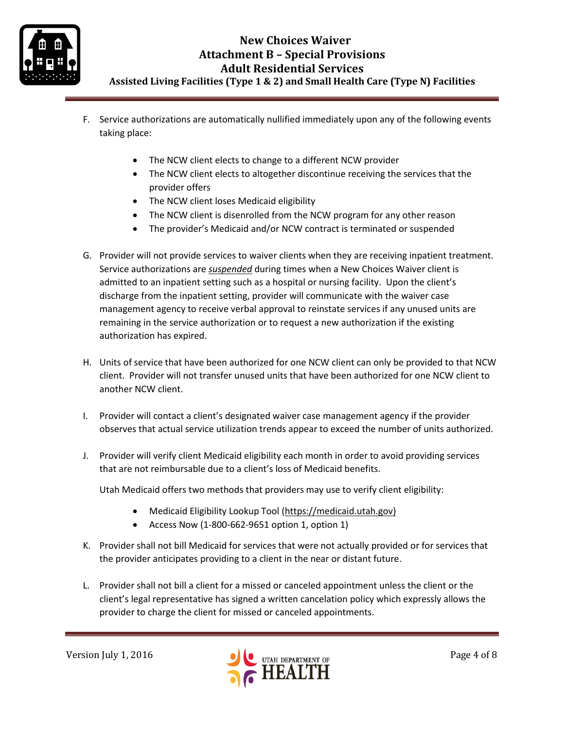

- F. Service authorizations are automatically nullified immediately upon any of the following events taking place:
	- The NCW client elects to change to a different NCW provider
	- The NCW client elects to altogether discontinue receiving the services that the provider offers
	- The NCW client loses Medicaid eligibility
	- The NCW client is disenrolled from the NCW program for any other reason
	- The provider's Medicaid and/or NCW contract is terminated or suspended
- G. Provider will not provide services to waiver clients when they are receiving inpatient treatment. Service authorizations are *suspended* during times when a New Choices Waiver client is admitted to an inpatient setting such as a hospital or nursing facility. Upon the client's discharge from the inpatient setting, provider will communicate with the waiver case management agency to receive verbal approval to reinstate services if any unused units are remaining in the service authorization or to request a new authorization if the existing authorization has expired.
- H. Units of service that have been authorized for one NCW client can only be provided to that NCW client. Provider will not transfer unused units that have been authorized for one NCW client to another NCW client.
- I. Provider will contact a client's designated waiver case management agency if the provider observes that actual service utilization trends appear to exceed the number of units authorized.
- J. Provider will verify client Medicaid eligibility each month in order to avoid providing services that are not reimbursable due to a client's loss of Medicaid benefits.

Utah Medicaid offers two methods that providers may use to verify client eligibility:

- Medicaid Eligibility Lookup Tool [\(https://medicaid.utah.gov\)](https://medicaid.utah.gov/)
- Access Now (1-800-662-9651 option 1, option 1)
- K. Provider shall not bill Medicaid for services that were not actually provided or for services that the provider anticipates providing to a client in the near or distant future.
- L. Provider shall not bill a client for a missed or canceled appointment unless the client or the client's legal representative has signed a written cancelation policy which expressly allows the provider to charge the client for missed or canceled appointments.

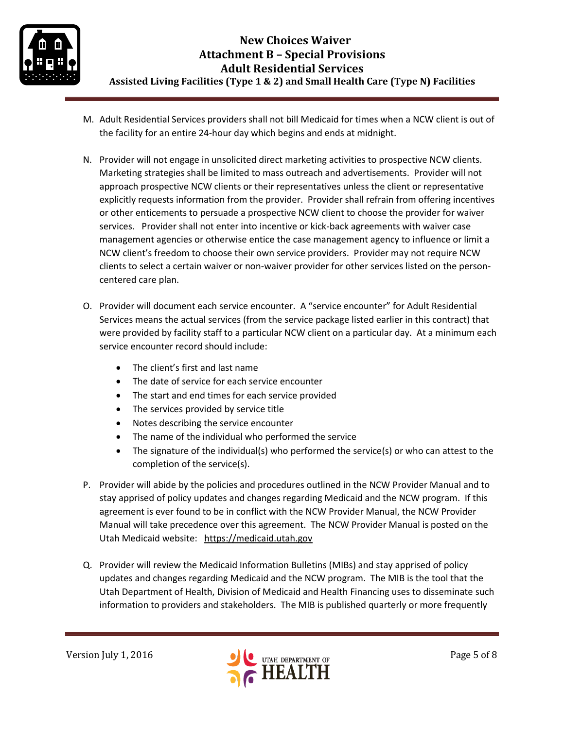

- M. Adult Residential Services providers shall not bill Medicaid for times when a NCW client is out of the facility for an entire 24-hour day which begins and ends at midnight.
- N. Provider will not engage in unsolicited direct marketing activities to prospective NCW clients. Marketing strategies shall be limited to mass outreach and advertisements. Provider will not approach prospective NCW clients or their representatives unless the client or representative explicitly requests information from the provider. Provider shall refrain from offering incentives or other enticements to persuade a prospective NCW client to choose the provider for waiver services. Provider shall not enter into incentive or kick-back agreements with waiver case management agencies or otherwise entice the case management agency to influence or limit a NCW client's freedom to choose their own service providers. Provider may not require NCW clients to select a certain waiver or non-waiver provider for other services listed on the personcentered care plan.
- O. Provider will document each service encounter. A "service encounter" for Adult Residential Services means the actual services (from the service package listed earlier in this contract) that were provided by facility staff to a particular NCW client on a particular day. At a minimum each service encounter record should include:
	- The client's first and last name
	- The date of service for each service encounter
	- The start and end times for each service provided
	- The services provided by service title
	- Notes describing the service encounter
	- The name of the individual who performed the service
	- The signature of the individual(s) who performed the service(s) or who can attest to the completion of the service(s).
- P. Provider will abide by the policies and procedures outlined in the NCW Provider Manual and to stay apprised of policy updates and changes regarding Medicaid and the NCW program. If this agreement is ever found to be in conflict with the NCW Provider Manual, the NCW Provider Manual will take precedence over this agreement. The NCW Provider Manual is posted on the Utah Medicaid website: [https://medicaid.utah.gov](https://medicaid.utah.gov/)
- Q. Provider will review the Medicaid Information Bulletins (MIBs) and stay apprised of policy updates and changes regarding Medicaid and the NCW program. The MIB is the tool that the Utah Department of Health, Division of Medicaid and Health Financing uses to disseminate such information to providers and stakeholders. The MIB is published quarterly or more frequently

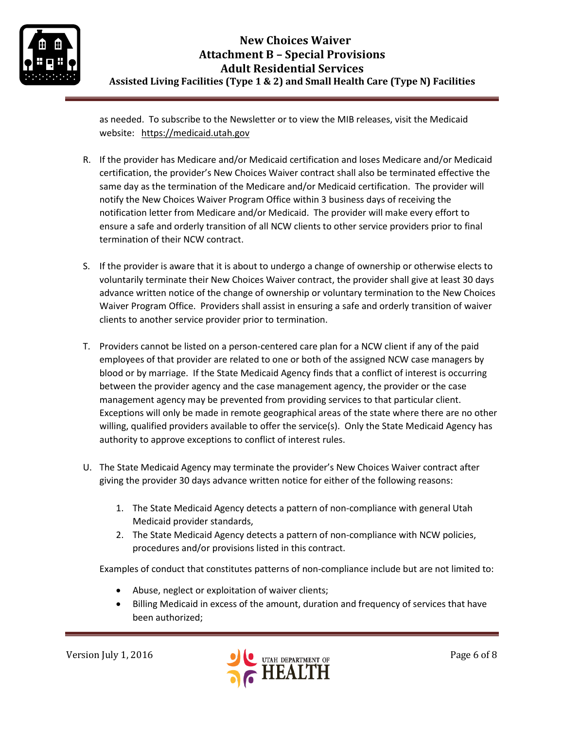

as needed. To subscribe to the Newsletter or to view the MIB releases, visit the Medicaid website: [https://medicaid.utah.gov](https://medicaid.utah.gov/)

- R. If the provider has Medicare and/or Medicaid certification and loses Medicare and/or Medicaid certification, the provider's New Choices Waiver contract shall also be terminated effective the same day as the termination of the Medicare and/or Medicaid certification. The provider will notify the New Choices Waiver Program Office within 3 business days of receiving the notification letter from Medicare and/or Medicaid. The provider will make every effort to ensure a safe and orderly transition of all NCW clients to other service providers prior to final termination of their NCW contract.
- S. If the provider is aware that it is about to undergo a change of ownership or otherwise elects to voluntarily terminate their New Choices Waiver contract, the provider shall give at least 30 days advance written notice of the change of ownership or voluntary termination to the New Choices Waiver Program Office. Providers shall assist in ensuring a safe and orderly transition of waiver clients to another service provider prior to termination.
- T. Providers cannot be listed on a person-centered care plan for a NCW client if any of the paid employees of that provider are related to one or both of the assigned NCW case managers by blood or by marriage. If the State Medicaid Agency finds that a conflict of interest is occurring between the provider agency and the case management agency, the provider or the case management agency may be prevented from providing services to that particular client. Exceptions will only be made in remote geographical areas of the state where there are no other willing, qualified providers available to offer the service(s). Only the State Medicaid Agency has authority to approve exceptions to conflict of interest rules.
- U. The State Medicaid Agency may terminate the provider's New Choices Waiver contract after giving the provider 30 days advance written notice for either of the following reasons:
	- 1. The State Medicaid Agency detects a pattern of non-compliance with general Utah Medicaid provider standards,
	- 2. The State Medicaid Agency detects a pattern of non-compliance with NCW policies, procedures and/or provisions listed in this contract.

Examples of conduct that constitutes patterns of non-compliance include but are not limited to:

- Abuse, neglect or exploitation of waiver clients;
- Billing Medicaid in excess of the amount, duration and frequency of services that have been authorized;

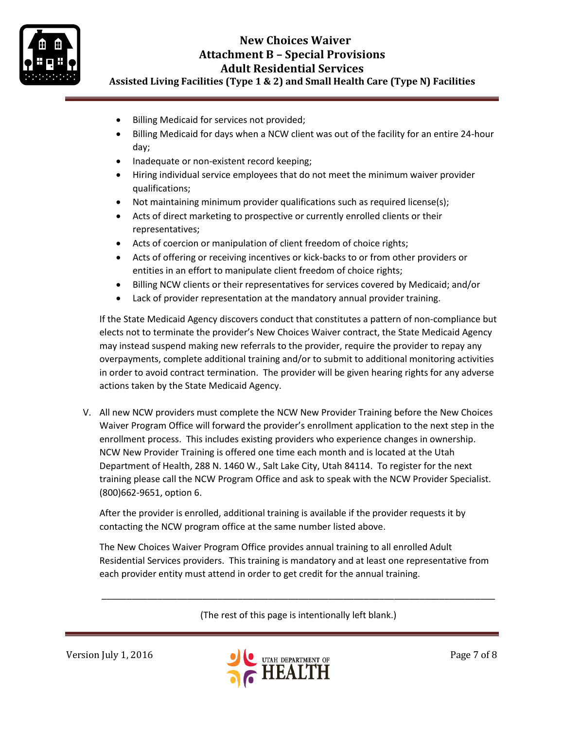

# **New Choices Waiver Attachment B – Special Provisions Adult Residential Services**

**Assisted Living Facilities (Type 1 & 2) and Small Health Care (Type N) Facilities**

- Billing Medicaid for services not provided;
- Billing Medicaid for days when a NCW client was out of the facility for an entire 24-hour day;
- Inadequate or non-existent record keeping;
- Hiring individual service employees that do not meet the minimum waiver provider qualifications;
- Not maintaining minimum provider qualifications such as required license(s);
- Acts of direct marketing to prospective or currently enrolled clients or their representatives;
- Acts of coercion or manipulation of client freedom of choice rights;
- Acts of offering or receiving incentives or kick-backs to or from other providers or entities in an effort to manipulate client freedom of choice rights;
- Billing NCW clients or their representatives for services covered by Medicaid; and/or
- Lack of provider representation at the mandatory annual provider training.

If the State Medicaid Agency discovers conduct that constitutes a pattern of non-compliance but elects not to terminate the provider's New Choices Waiver contract, the State Medicaid Agency may instead suspend making new referrals to the provider, require the provider to repay any overpayments, complete additional training and/or to submit to additional monitoring activities in order to avoid contract termination. The provider will be given hearing rights for any adverse actions taken by the State Medicaid Agency.

V. All new NCW providers must complete the NCW New Provider Training before the New Choices Waiver Program Office will forward the provider's enrollment application to the next step in the enrollment process. This includes existing providers who experience changes in ownership. NCW New Provider Training is offered one time each month and is located at the Utah Department of Health, 288 N. 1460 W., Salt Lake City, Utah 84114. To register for the next training please call the NCW Program Office and ask to speak with the NCW Provider Specialist. (800)662-9651, option 6.

After the provider is enrolled, additional training is available if the provider requests it by contacting the NCW program office at the same number listed above.

The New Choices Waiver Program Office provides annual training to all enrolled Adult Residential Services providers. This training is mandatory and at least one representative from each provider entity must attend in order to get credit for the annual training.

(The rest of this page is intentionally left blank.)

\_\_\_\_\_\_\_\_\_\_\_\_\_\_\_\_\_\_\_\_\_\_\_\_\_\_\_\_\_\_\_\_\_\_\_\_\_\_\_\_\_\_\_\_\_\_\_\_\_\_\_\_\_\_\_\_\_\_\_\_\_\_\_\_\_\_\_\_\_\_\_\_\_\_\_\_\_\_